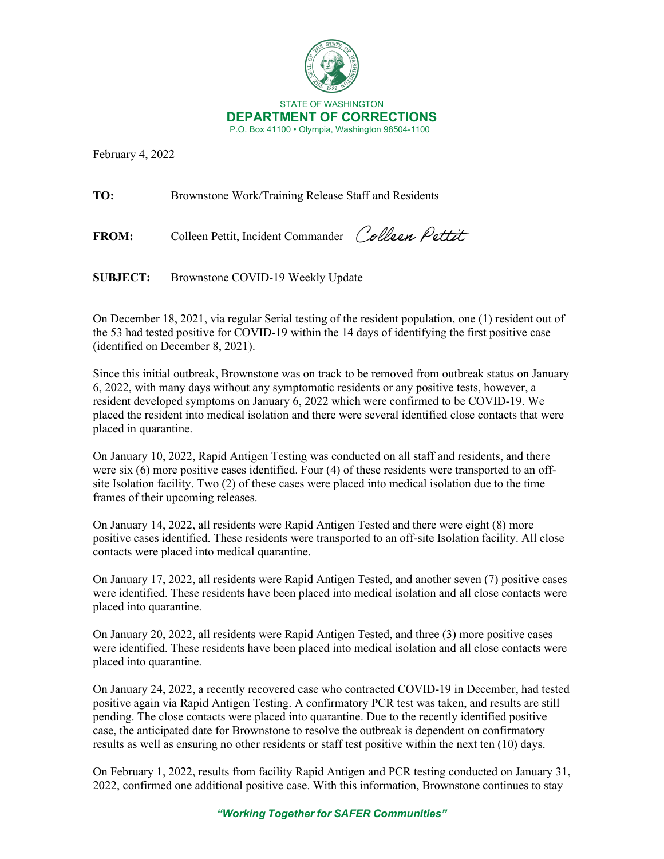

February 4, 2022

**TO:** Brownstone Work/Training Release Staff and Residents

FROM: Colleen Pettit, Incident Commander Colleen Pettit

**SUBJECT:** Brownstone COVID-19 Weekly Update

On December 18, 2021, via regular Serial testing of the resident population, one (1) resident out of the 53 had tested positive for COVID-19 within the 14 days of identifying the first positive case (identified on December 8, 2021).

Since this initial outbreak, Brownstone was on track to be removed from outbreak status on January 6, 2022, with many days without any symptomatic residents or any positive tests, however, a resident developed symptoms on January 6, 2022 which were confirmed to be COVID-19. We placed the resident into medical isolation and there were several identified close contacts that were placed in quarantine.

On January 10, 2022, Rapid Antigen Testing was conducted on all staff and residents, and there were six (6) more positive cases identified. Four (4) of these residents were transported to an offsite Isolation facility. Two (2) of these cases were placed into medical isolation due to the time frames of their upcoming releases.

On January 14, 2022, all residents were Rapid Antigen Tested and there were eight (8) more positive cases identified. These residents were transported to an off-site Isolation facility. All close contacts were placed into medical quarantine.

On January 17, 2022, all residents were Rapid Antigen Tested, and another seven (7) positive cases were identified. These residents have been placed into medical isolation and all close contacts were placed into quarantine.

On January 20, 2022, all residents were Rapid Antigen Tested, and three (3) more positive cases were identified. These residents have been placed into medical isolation and all close contacts were placed into quarantine.

On January 24, 2022, a recently recovered case who contracted COVID-19 in December, had tested positive again via Rapid Antigen Testing. A confirmatory PCR test was taken, and results are still pending. The close contacts were placed into quarantine. Due to the recently identified positive case, the anticipated date for Brownstone to resolve the outbreak is dependent on confirmatory results as well as ensuring no other residents or staff test positive within the next ten (10) days.

On February 1, 2022, results from facility Rapid Antigen and PCR testing conducted on January 31, 2022, confirmed one additional positive case. With this information, Brownstone continues to stay

*"Working Together for SAFER Communities"*